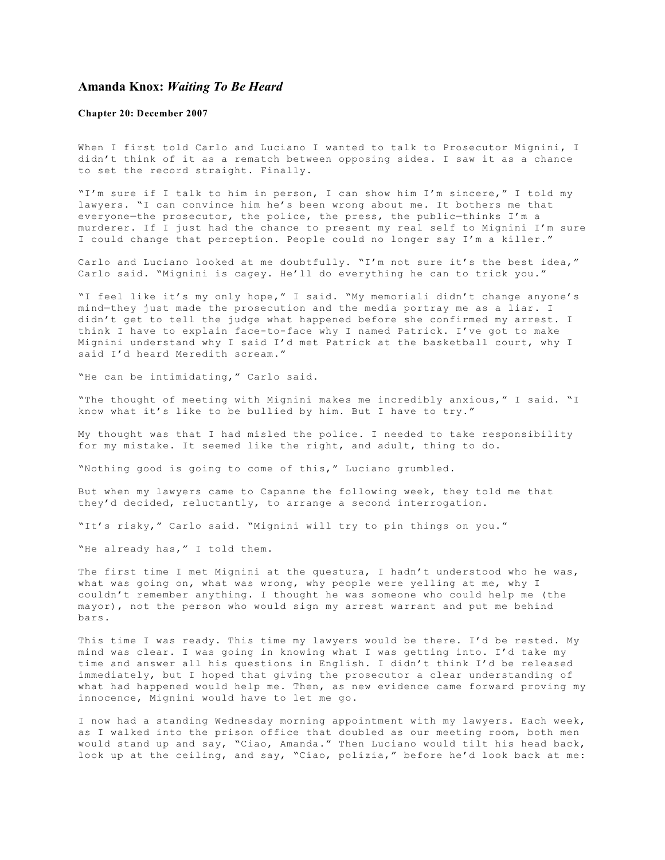## **Amanda Knox:** *Waiting To Be Heard*

## **Chapter 20: December 2007**

When I first told Carlo and Luciano I wanted to talk to Prosecutor Mignini, I didn't think of it as a rematch between opposing sides. I saw it as a chance to set the record straight. Finally.

"I'm sure if I talk to him in person, I can show him I'm sincere," I told my lawyers. "I can convince him he's been wrong about me. It bothers me that everyone—the prosecutor, the police, the press, the public—thinks I'm a murderer. If I just had the chance to present my real self to Mignini I'm sure I could change that perception. People could no longer say I'm a killer."

Carlo and Luciano looked at me doubtfully. "I'm not sure it's the best idea," Carlo said. "Mignini is cagey. He'll do everything he can to trick you."

"I feel like it's my only hope," I said. "My memoriali didn't change anyone's mind—they just made the prosecution and the media portray me as a liar. I didn't get to tell the judge what happened before she confirmed my arrest. I think I have to explain face-to-face why I named Patrick. I've got to make Mignini understand why I said I'd met Patrick at the basketball court, why I said I'd heard Meredith scream."

"He can be intimidating," Carlo said.

"The thought of meeting with Mignini makes me incredibly anxious," I said. "I know what it's like to be bullied by him. But I have to try."

My thought was that I had misled the police. I needed to take responsibility for my mistake. It seemed like the right, and adult, thing to do.

"Nothing good is going to come of this," Luciano grumbled.

But when my lawyers came to Capanne the following week, they told me that they'd decided, reluctantly, to arrange a second interrogation.

"It's risky," Carlo said. "Mignini will try to pin things on you."

"He already has," I told them.

The first time I met Mignini at the questura, I hadn't understood who he was, what was going on, what was wrong, why people were yelling at me, why I couldn't remember anything. I thought he was someone who could help me (the mayor), not the person who would sign my arrest warrant and put me behind bars.

This time I was ready. This time my lawyers would be there. I'd be rested. My mind was clear. I was going in knowing what I was getting into. I'd take my time and answer all his questions in English. I didn't think I'd be released immediately, but I hoped that giving the prosecutor a clear understanding of what had happened would help me. Then, as new evidence came forward proving my innocence, Mignini would have to let me go.

I now had a standing Wednesday morning appointment with my lawyers. Each week, as I walked into the prison office that doubled as our meeting room, both men would stand up and say, "Ciao, Amanda." Then Luciano would tilt his head back, look up at the ceiling, and say, "Ciao, polizia," before he'd look back at me: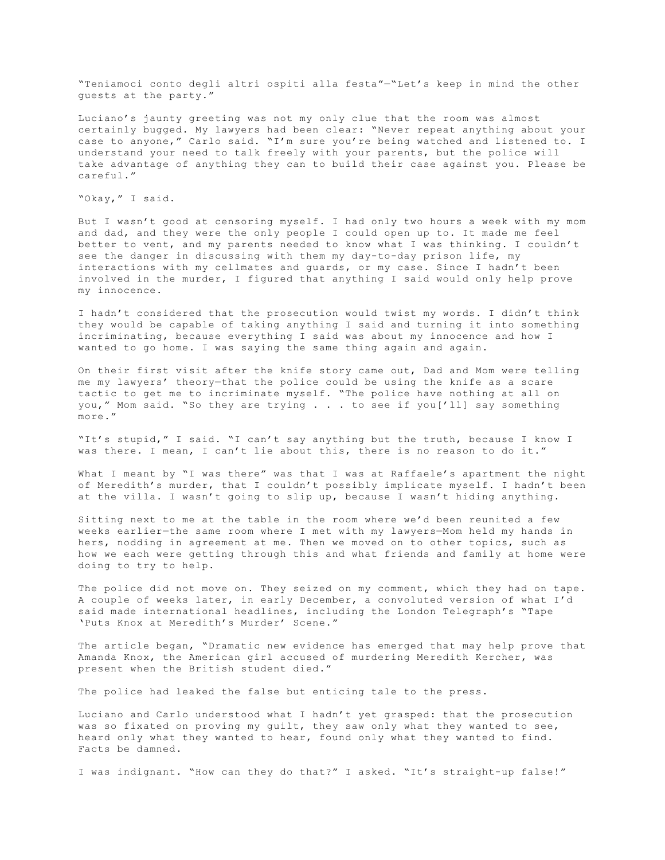"Teniamoci conto degli altri ospiti alla festa"—"Let's keep in mind the other guests at the party."

Luciano's jaunty greeting was not my only clue that the room was almost certainly bugged. My lawyers had been clear: "Never repeat anything about your case to anyone," Carlo said. "I'm sure you're being watched and listened to. I understand your need to talk freely with your parents, but the police will take advantage of anything they can to build their case against you. Please be careful."

"Okay," I said.

But I wasn't good at censoring myself. I had only two hours a week with my mom and dad, and they were the only people I could open up to. It made me feel better to vent, and my parents needed to know what I was thinking. I couldn't see the danger in discussing with them my day-to-day prison life, my interactions with my cellmates and guards, or my case. Since I hadn't been involved in the murder, I figured that anything I said would only help prove my innocence.

I hadn't considered that the prosecution would twist my words. I didn't think they would be capable of taking anything I said and turning it into something incriminating, because everything I said was about my innocence and how I wanted to go home. I was saying the same thing again and again.

On their first visit after the knife story came out, Dad and Mom were telling me my lawyers' theory—that the police could be using the knife as a scare tactic to get me to incriminate myself. "The police have nothing at all on you," Mom said. "So they are trying . . . to see if you['ll] say something more."

"It's stupid," I said. "I can't say anything but the truth, because I know I was there. I mean, I can't lie about this, there is no reason to do it."

What I meant by "I was there" was that I was at Raffaele's apartment the night of Meredith's murder, that I couldn't possibly implicate myself. I hadn't been at the villa. I wasn't going to slip up, because I wasn't hiding anything.

Sitting next to me at the table in the room where we'd been reunited a few weeks earlier—the same room where I met with my lawyers—Mom held my hands in hers, nodding in agreement at me. Then we moved on to other topics, such as how we each were getting through this and what friends and family at home were doing to try to help.

The police did not move on. They seized on my comment, which they had on tape. A couple of weeks later, in early December, a convoluted version of what I'd said made international headlines, including the London Telegraph's "Tape 'Puts Knox at Meredith's Murder' Scene."

The article began, "Dramatic new evidence has emerged that may help prove that Amanda Knox, the American girl accused of murdering Meredith Kercher, was present when the British student died."

The police had leaked the false but enticing tale to the press.

Luciano and Carlo understood what I hadn't yet grasped: that the prosecution was so fixated on proving my quilt, they saw only what they wanted to see, heard only what they wanted to hear, found only what they wanted to find. Facts be damned.

I was indignant. "How can they do that?" I asked. "It's straight-up false!"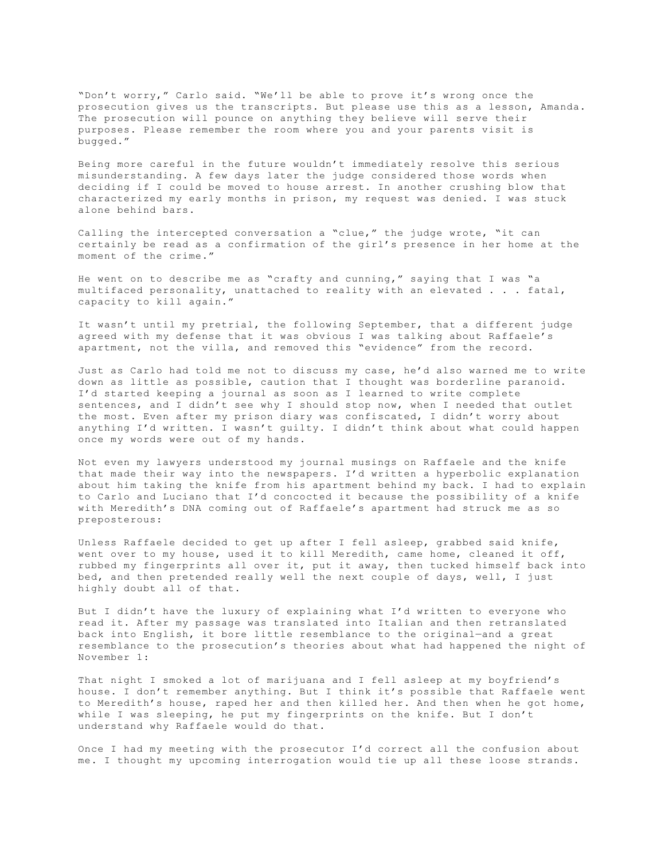"Don't worry," Carlo said. "We'll be able to prove it's wrong once the prosecution gives us the transcripts. But please use this as a lesson, Amanda. The prosecution will pounce on anything they believe will serve their purposes. Please remember the room where you and your parents visit is bugged."

Being more careful in the future wouldn't immediately resolve this serious misunderstanding. A few days later the judge considered those words when deciding if I could be moved to house arrest. In another crushing blow that characterized my early months in prison, my request was denied. I was stuck alone behind bars.

Calling the intercepted conversation a "clue," the judge wrote, "it can certainly be read as a confirmation of the girl's presence in her home at the moment of the crime."

He went on to describe me as "crafty and cunning," saying that I was "a multifaced personality, unattached to reality with an elevated . . . fatal, capacity to kill again."

It wasn't until my pretrial, the following September, that a different judge agreed with my defense that it was obvious I was talking about Raffaele's apartment, not the villa, and removed this "evidence" from the record.

Just as Carlo had told me not to discuss my case, he'd also warned me to write down as little as possible, caution that I thought was borderline paranoid. I'd started keeping a journal as soon as I learned to write complete sentences, and I didn't see why I should stop now, when I needed that outlet the most. Even after my prison diary was confiscated, I didn't worry about anything I'd written. I wasn't guilty. I didn't think about what could happen once my words were out of my hands.

Not even my lawyers understood my journal musings on Raffaele and the knife that made their way into the newspapers. I'd written a hyperbolic explanation about him taking the knife from his apartment behind my back. I had to explain to Carlo and Luciano that I'd concocted it because the possibility of a knife with Meredith's DNA coming out of Raffaele's apartment had struck me as so preposterous:

Unless Raffaele decided to get up after I fell asleep, grabbed said knife, went over to my house, used it to kill Meredith, came home, cleaned it off, rubbed my fingerprints all over it, put it away, then tucked himself back into bed, and then pretended really well the next couple of days, well, I just highly doubt all of that.

But I didn't have the luxury of explaining what I'd written to everyone who read it. After my passage was translated into Italian and then retranslated back into English, it bore little resemblance to the original—and a great resemblance to the prosecution's theories about what had happened the night of November 1:

That night I smoked a lot of marijuana and I fell asleep at my boyfriend's house. I don't remember anything. But I think it's possible that Raffaele went to Meredith's house, raped her and then killed her. And then when he got home, while I was sleeping, he put my fingerprints on the knife. But I don't understand why Raffaele would do that.

Once I had my meeting with the prosecutor I'd correct all the confusion about me. I thought my upcoming interrogation would tie up all these loose strands.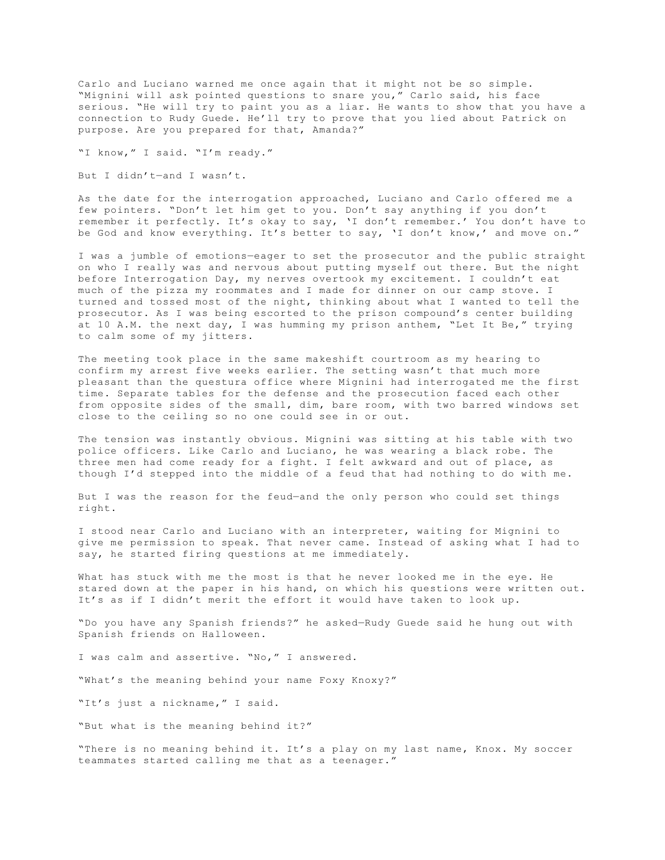Carlo and Luciano warned me once again that it might not be so simple. "Mignini will ask pointed questions to snare you," Carlo said, his face serious. "He will try to paint you as a liar. He wants to show that you have a connection to Rudy Guede. He'll try to prove that you lied about Patrick on purpose. Are you prepared for that, Amanda?"

"I know," I said. "I'm ready."

But I didn't—and I wasn't.

As the date for the interrogation approached, Luciano and Carlo offered me a few pointers. "Don't let him get to you. Don't say anything if you don't remember it perfectly. It's okay to say, 'I don't remember.' You don't have to be God and know everything. It's better to say, 'I don't know,' and move on."

I was a jumble of emotions—eager to set the prosecutor and the public straight on who I really was and nervous about putting myself out there. But the night before Interrogation Day, my nerves overtook my excitement. I couldn't eat much of the pizza my roommates and I made for dinner on our camp stove. I turned and tossed most of the night, thinking about what I wanted to tell the prosecutor. As I was being escorted to the prison compound's center building at 10 A.M. the next day, I was humming my prison anthem, "Let It Be," trying to calm some of my jitters.

The meeting took place in the same makeshift courtroom as my hearing to confirm my arrest five weeks earlier. The setting wasn't that much more pleasant than the questura office where Mignini had interrogated me the first time. Separate tables for the defense and the prosecution faced each other from opposite sides of the small, dim, bare room, with two barred windows set close to the ceiling so no one could see in or out.

The tension was instantly obvious. Mignini was sitting at his table with two police officers. Like Carlo and Luciano, he was wearing a black robe. The three men had come ready for a fight. I felt awkward and out of place, as though I'd stepped into the middle of a feud that had nothing to do with me.

But I was the reason for the feud—and the only person who could set things right.

I stood near Carlo and Luciano with an interpreter, waiting for Mignini to give me permission to speak. That never came. Instead of asking what I had to say, he started firing questions at me immediately.

What has stuck with me the most is that he never looked me in the eye. He stared down at the paper in his hand, on which his questions were written out. It's as if I didn't merit the effort it would have taken to look up.

"Do you have any Spanish friends?" he asked—Rudy Guede said he hung out with Spanish friends on Halloween.

I was calm and assertive. "No," I answered.

"What's the meaning behind your name Foxy Knoxy?"

"It's just a nickname," I said.

"But what is the meaning behind it?"

"There is no meaning behind it. It's a play on my last name, Knox. My soccer teammates started calling me that as a teenager."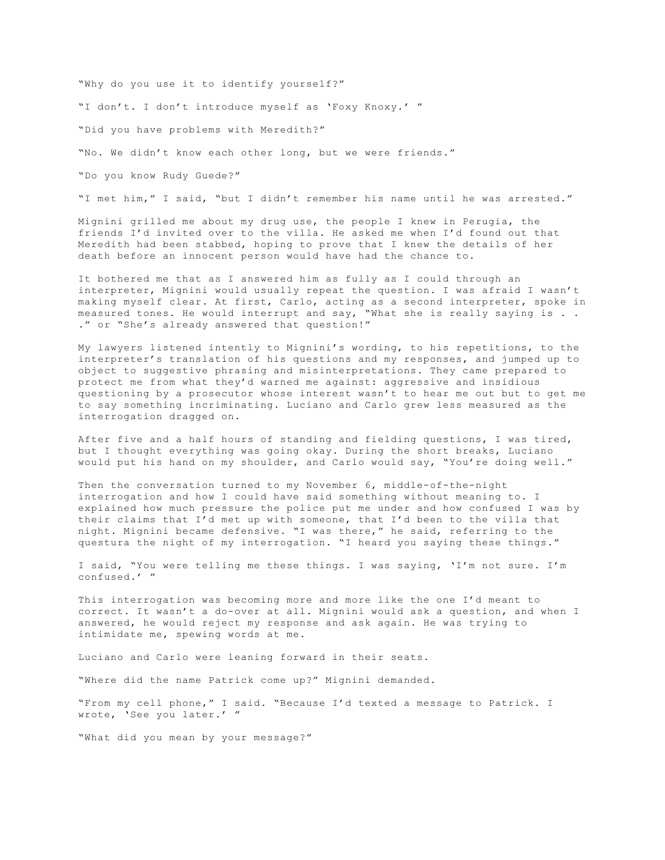"Why do you use it to identify yourself?"

"I don't. I don't introduce myself as 'Foxy Knoxy.' "

"Did you have problems with Meredith?"

"No. We didn't know each other long, but we were friends."

"Do you know Rudy Guede?"

"I met him," I said, "but I didn't remember his name until he was arrested."

Mignini grilled me about my drug use, the people I knew in Perugia, the friends I'd invited over to the villa. He asked me when I'd found out that Meredith had been stabbed, hoping to prove that I knew the details of her death before an innocent person would have had the chance to.

It bothered me that as I answered him as fully as I could through an interpreter, Mignini would usually repeat the question. I was afraid I wasn't making myself clear. At first, Carlo, acting as a second interpreter, spoke in measured tones. He would interrupt and say, "What she is really saying is . . ." or "She's already answered that question!"

My lawyers listened intently to Mignini's wording, to his repetitions, to the interpreter's translation of his questions and my responses, and jumped up to object to suggestive phrasing and misinterpretations. They came prepared to protect me from what they'd warned me against: aggressive and insidious questioning by a prosecutor whose interest wasn't to hear me out but to get me to say something incriminating. Luciano and Carlo grew less measured as the interrogation dragged on.

After five and a half hours of standing and fielding questions, I was tired, but I thought everything was going okay. During the short breaks, Luciano would put his hand on my shoulder, and Carlo would say, "You're doing well."

Then the conversation turned to my November 6, middle-of-the-night interrogation and how I could have said something without meaning to. I explained how much pressure the police put me under and how confused I was by their claims that I'd met up with someone, that I'd been to the villa that night. Mignini became defensive. "I was there," he said, referring to the questura the night of my interrogation. "I heard you saying these things."

I said, "You were telling me these things. I was saying, 'I'm not sure. I'm confused.' "

This interrogation was becoming more and more like the one I'd meant to correct. It wasn't a do-over at all. Mignini would ask a question, and when I answered, he would reject my response and ask again. He was trying to intimidate me, spewing words at me.

Luciano and Carlo were leaning forward in their seats.

"Where did the name Patrick come up?" Mignini demanded.

"From my cell phone," I said. "Because I'd texted a message to Patrick. I wrote, 'See you later.' "

"What did you mean by your message?"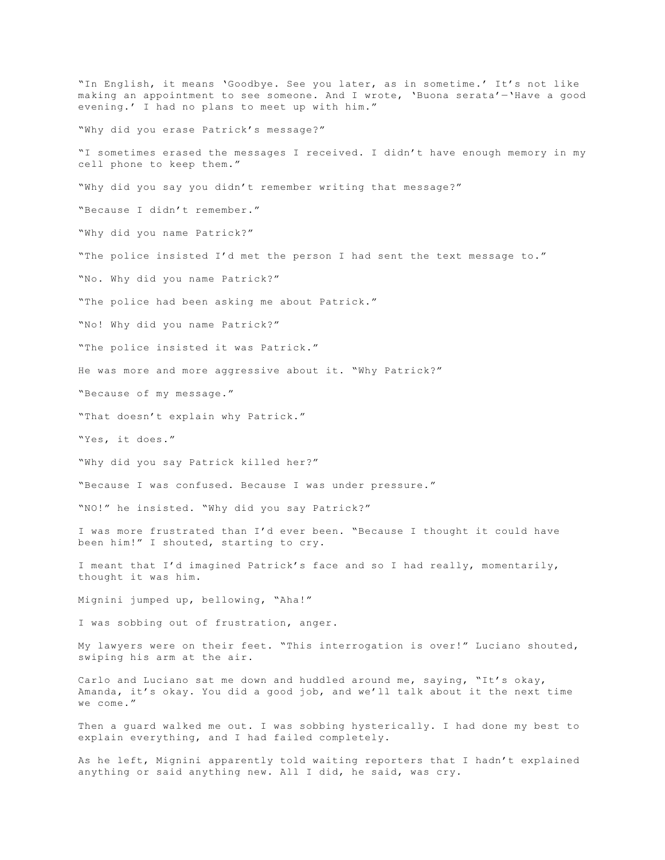"In English, it means 'Goodbye. See you later, as in sometime.' It's not like making an appointment to see someone. And I wrote, 'Buona serata'—'Have a good evening.' I had no plans to meet up with him." "Why did you erase Patrick's message?" "I sometimes erased the messages I received. I didn't have enough memory in my cell phone to keep them." "Why did you say you didn't remember writing that message?" "Because I didn't remember." "Why did you name Patrick?" "The police insisted I'd met the person I had sent the text message to." "No. Why did you name Patrick?" "The police had been asking me about Patrick." "No! Why did you name Patrick?" "The police insisted it was Patrick." He was more and more aggressive about it. "Why Patrick?" "Because of my message." "That doesn't explain why Patrick." "Yes, it does." "Why did you say Patrick killed her?" "Because I was confused. Because I was under pressure." "NO!" he insisted. "Why did you say Patrick?" I was more frustrated than I'd ever been. "Because I thought it could have been him!" I shouted, starting to cry. I meant that I'd imagined Patrick's face and so I had really, momentarily, thought it was him. Mignini jumped up, bellowing, "Aha!" I was sobbing out of frustration, anger. My lawyers were on their feet. "This interrogation is over!" Luciano shouted, swiping his arm at the air. Carlo and Luciano sat me down and huddled around me, saying, "It's okay, Amanda, it's okay. You did a good job, and we'll talk about it the next time we come." Then a guard walked me out. I was sobbing hysterically. I had done my best to explain everything, and I had failed completely. As he left, Mignini apparently told waiting reporters that I hadn't explained anything or said anything new. All I did, he said, was cry.